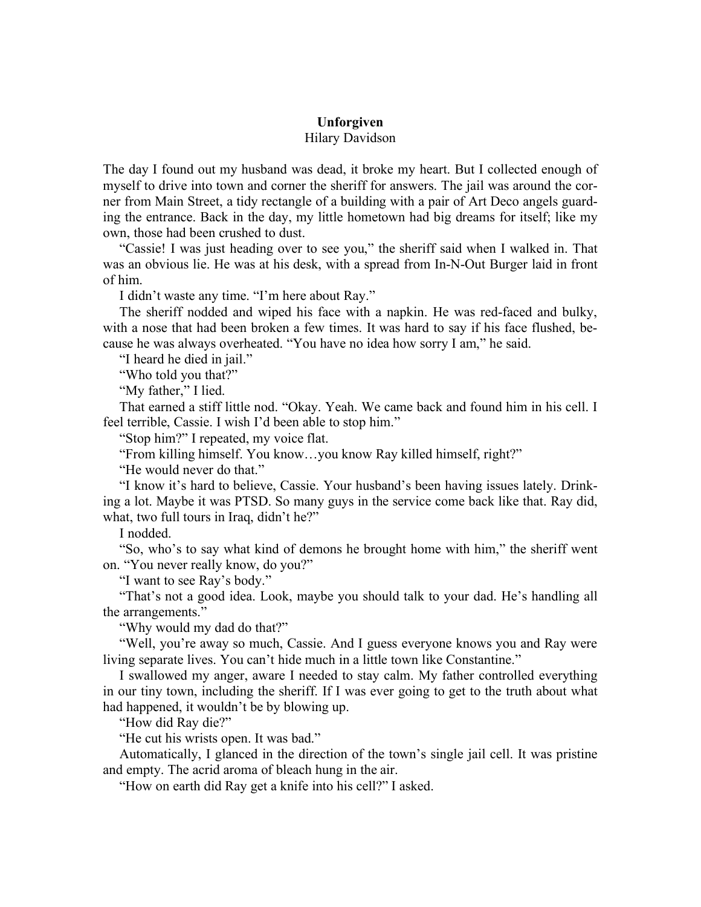## **Unforgiven**

## Hilary Davidson

The day I found out my husband was dead, it broke my heart. But I collected enough of myself to drive into town and corner the sheriff for answers. The jail was around the corner from Main Street, a tidy rectangle of a building with a pair of Art Deco angels guarding the entrance. Back in the day, my little hometown had big dreams for itself; like my own, those had been crushed to dust.

"Cassie! I was just heading over to see you," the sheriff said when I walked in. That was an obvious lie. He was at his desk, with a spread from In-N-Out Burger laid in front of him.

I didn't waste any time. "I'm here about Ray."

The sheriff nodded and wiped his face with a napkin. He was red-faced and bulky, with a nose that had been broken a few times. It was hard to say if his face flushed, because he was always overheated. "You have no idea how sorry I am," he said.

"I heard he died in jail."

"Who told you that?"

"My father," I lied.

That earned a stiff little nod. "Okay. Yeah. We came back and found him in his cell. I feel terrible, Cassie. I wish I'd been able to stop him."

"Stop him?" I repeated, my voice flat.

"From killing himself. You know…you know Ray killed himself, right?"

"He would never do that."

"I know it's hard to believe, Cassie. Your husband's been having issues lately. Drinking a lot. Maybe it was PTSD. So many guys in the service come back like that. Ray did, what, two full tours in Iraq, didn't he?"

I nodded.

"So, who's to say what kind of demons he brought home with him," the sheriff went on. "You never really know, do you?"

"I want to see Ray's body."

"That's not a good idea. Look, maybe you should talk to your dad. He's handling all the arrangements."

"Why would my dad do that?"

"Well, you're away so much, Cassie. And I guess everyone knows you and Ray were living separate lives. You can't hide much in a little town like Constantine."

I swallowed my anger, aware I needed to stay calm. My father controlled everything in our tiny town, including the sheriff. If I was ever going to get to the truth about what had happened, it wouldn't be by blowing up.

"How did Ray die?"

"He cut his wrists open. It was bad."

Automatically, I glanced in the direction of the town's single jail cell. It was pristine and empty. The acrid aroma of bleach hung in the air.

"How on earth did Ray get a knife into his cell?" I asked.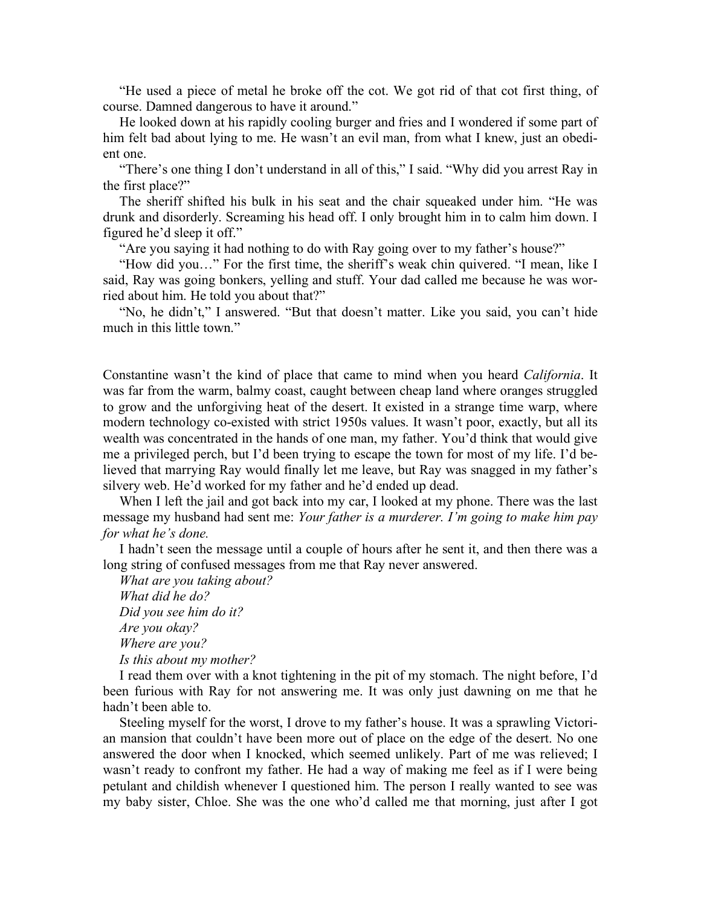"He used a piece of metal he broke off the cot. We got rid of that cot first thing, of course. Damned dangerous to have it around."

He looked down at his rapidly cooling burger and fries and I wondered if some part of him felt bad about lying to me. He wasn't an evil man, from what I knew, just an obedient one.

"There's one thing I don't understand in all of this," I said. "Why did you arrest Ray in the first place?"

The sheriff shifted his bulk in his seat and the chair squeaked under him. "He was drunk and disorderly. Screaming his head off. I only brought him in to calm him down. I figured he'd sleep it off."

"Are you saying it had nothing to do with Ray going over to my father's house?"

"How did you…" For the first time, the sheriff's weak chin quivered. "I mean, like I said, Ray was going bonkers, yelling and stuff. Your dad called me because he was worried about him. He told you about that?"

"No, he didn't," I answered. "But that doesn't matter. Like you said, you can't hide much in this little town."

Constantine wasn't the kind of place that came to mind when you heard *California*. It was far from the warm, balmy coast, caught between cheap land where oranges struggled to grow and the unforgiving heat of the desert. It existed in a strange time warp, where modern technology co-existed with strict 1950s values. It wasn't poor, exactly, but all its wealth was concentrated in the hands of one man, my father. You'd think that would give me a privileged perch, but I'd been trying to escape the town for most of my life. I'd believed that marrying Ray would finally let me leave, but Ray was snagged in my father's silvery web. He'd worked for my father and he'd ended up dead.

When I left the jail and got back into my car, I looked at my phone. There was the last message my husband had sent me: *Your father is a murderer. I'm going to make him pay for what he's done.*

I hadn't seen the message until a couple of hours after he sent it, and then there was a long string of confused messages from me that Ray never answered.

*What are you taking about? What did he do? Did you see him do it? Are you okay? Where are you? Is this about my mother?*

I read them over with a knot tightening in the pit of my stomach. The night before, I'd been furious with Ray for not answering me. It was only just dawning on me that he hadn't been able to.

Steeling myself for the worst, I drove to my father's house. It was a sprawling Victorian mansion that couldn't have been more out of place on the edge of the desert. No one answered the door when I knocked, which seemed unlikely. Part of me was relieved; I wasn't ready to confront my father. He had a way of making me feel as if I were being petulant and childish whenever I questioned him. The person I really wanted to see was my baby sister, Chloe. She was the one who'd called me that morning, just after I got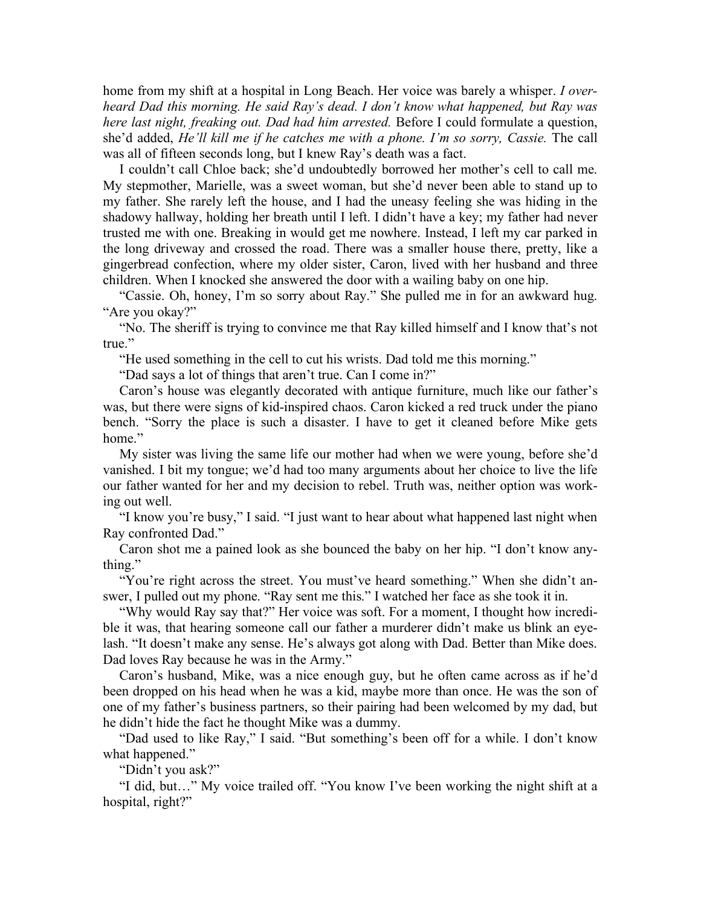home from my shift at a hospital in Long Beach. Her voice was barely a whisper. *I overheard Dad this morning. He said Ray's dead. I don't know what happened, but Ray was here last night, freaking out. Dad had him arrested.* Before I could formulate a question, she'd added, *He'll kill me if he catches me with a phone. I'm so sorry, Cassie.* The call was all of fifteen seconds long, but I knew Ray's death was a fact.

I couldn't call Chloe back; she'd undoubtedly borrowed her mother's cell to call me. My stepmother, Marielle, was a sweet woman, but she'd never been able to stand up to my father. She rarely left the house, and I had the uneasy feeling she was hiding in the shadowy hallway, holding her breath until I left. I didn't have a key; my father had never trusted me with one. Breaking in would get me nowhere. Instead, I left my car parked in the long driveway and crossed the road. There was a smaller house there, pretty, like a gingerbread confection, where my older sister, Caron, lived with her husband and three children. When I knocked she answered the door with a wailing baby on one hip.

"Cassie. Oh, honey, I'm so sorry about Ray." She pulled me in for an awkward hug. "Are you okay?"

"No. The sheriff is trying to convince me that Ray killed himself and I know that's not true."

"He used something in the cell to cut his wrists. Dad told me this morning."

"Dad says a lot of things that aren't true. Can I come in?"

Caron's house was elegantly decorated with antique furniture, much like our father's was, but there were signs of kid-inspired chaos. Caron kicked a red truck under the piano bench. "Sorry the place is such a disaster. I have to get it cleaned before Mike gets home."

My sister was living the same life our mother had when we were young, before she'd vanished. I bit my tongue; we'd had too many arguments about her choice to live the life our father wanted for her and my decision to rebel. Truth was, neither option was working out well.

"I know you're busy," I said. "I just want to hear about what happened last night when Ray confronted Dad."

Caron shot me a pained look as she bounced the baby on her hip. "I don't know anything."

"You're right across the street. You must've heard something." When she didn't answer, I pulled out my phone. "Ray sent me this." I watched her face as she took it in.

"Why would Ray say that?" Her voice was soft. For a moment, I thought how incredible it was, that hearing someone call our father a murderer didn't make us blink an eyelash. "It doesn't make any sense. He's always got along with Dad. Better than Mike does. Dad loves Ray because he was in the Army."

Caron's husband, Mike, was a nice enough guy, but he often came across as if he'd been dropped on his head when he was a kid, maybe more than once. He was the son of one of my father's business partners, so their pairing had been welcomed by my dad, but he didn't hide the fact he thought Mike was a dummy.

"Dad used to like Ray," I said. "But something's been off for a while. I don't know what happened."

"Didn't you ask?"

"I did, but…" My voice trailed off. "You know I've been working the night shift at a hospital, right?"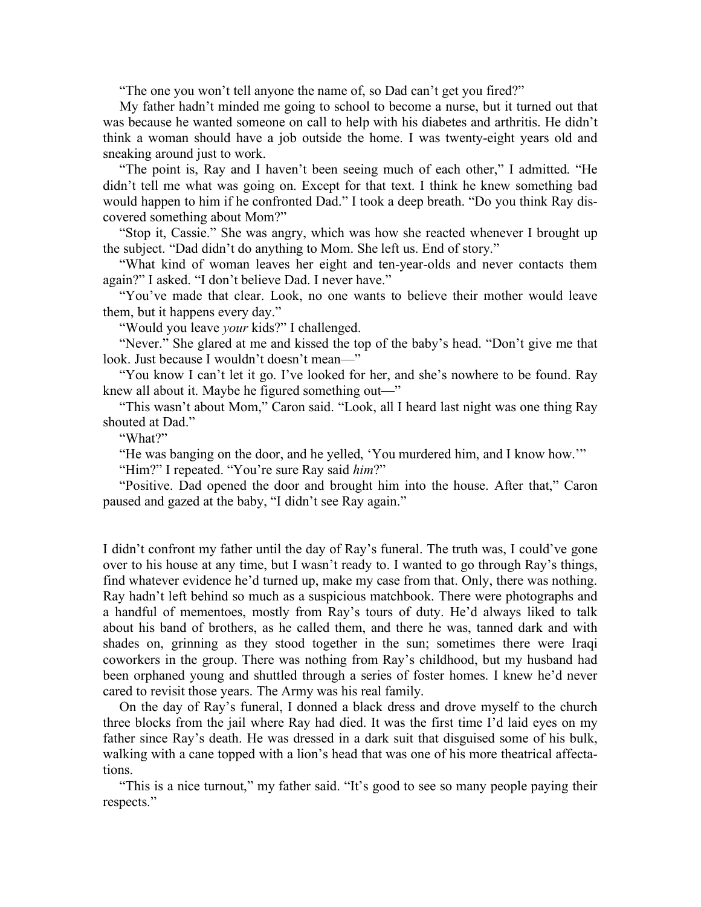"The one you won't tell anyone the name of, so Dad can't get you fired?"

My father hadn't minded me going to school to become a nurse, but it turned out that was because he wanted someone on call to help with his diabetes and arthritis. He didn't think a woman should have a job outside the home. I was twenty-eight years old and sneaking around just to work.

"The point is, Ray and I haven't been seeing much of each other," I admitted. "He didn't tell me what was going on. Except for that text. I think he knew something bad would happen to him if he confronted Dad." I took a deep breath. "Do you think Ray discovered something about Mom?"

"Stop it, Cassie." She was angry, which was how she reacted whenever I brought up the subject. "Dad didn't do anything to Mom. She left us. End of story."

"What kind of woman leaves her eight and ten-year-olds and never contacts them again?" I asked. "I don't believe Dad. I never have."

"You've made that clear. Look, no one wants to believe their mother would leave them, but it happens every day."

"Would you leave *your* kids?" I challenged.

"Never." She glared at me and kissed the top of the baby's head. "Don't give me that look. Just because I wouldn't doesn't mean—"

"You know I can't let it go. I've looked for her, and she's nowhere to be found. Ray knew all about it. Maybe he figured something out—"

"This wasn't about Mom," Caron said. "Look, all I heard last night was one thing Ray shouted at Dad."

"What?"

"He was banging on the door, and he yelled, 'You murdered him, and I know how.'"

"Him?" I repeated. "You're sure Ray said *him*?"

"Positive. Dad opened the door and brought him into the house. After that," Caron paused and gazed at the baby, "I didn't see Ray again."

I didn't confront my father until the day of Ray's funeral. The truth was, I could've gone over to his house at any time, but I wasn't ready to. I wanted to go through Ray's things, find whatever evidence he'd turned up, make my case from that. Only, there was nothing. Ray hadn't left behind so much as a suspicious matchbook. There were photographs and a handful of mementoes, mostly from Ray's tours of duty. He'd always liked to talk about his band of brothers, as he called them, and there he was, tanned dark and with shades on, grinning as they stood together in the sun; sometimes there were Iraqi coworkers in the group. There was nothing from Ray's childhood, but my husband had been orphaned young and shuttled through a series of foster homes. I knew he'd never cared to revisit those years. The Army was his real family.

On the day of Ray's funeral, I donned a black dress and drove myself to the church three blocks from the jail where Ray had died. It was the first time I'd laid eyes on my father since Ray's death. He was dressed in a dark suit that disguised some of his bulk, walking with a cane topped with a lion's head that was one of his more theatrical affectations.

"This is a nice turnout," my father said. "It's good to see so many people paying their respects."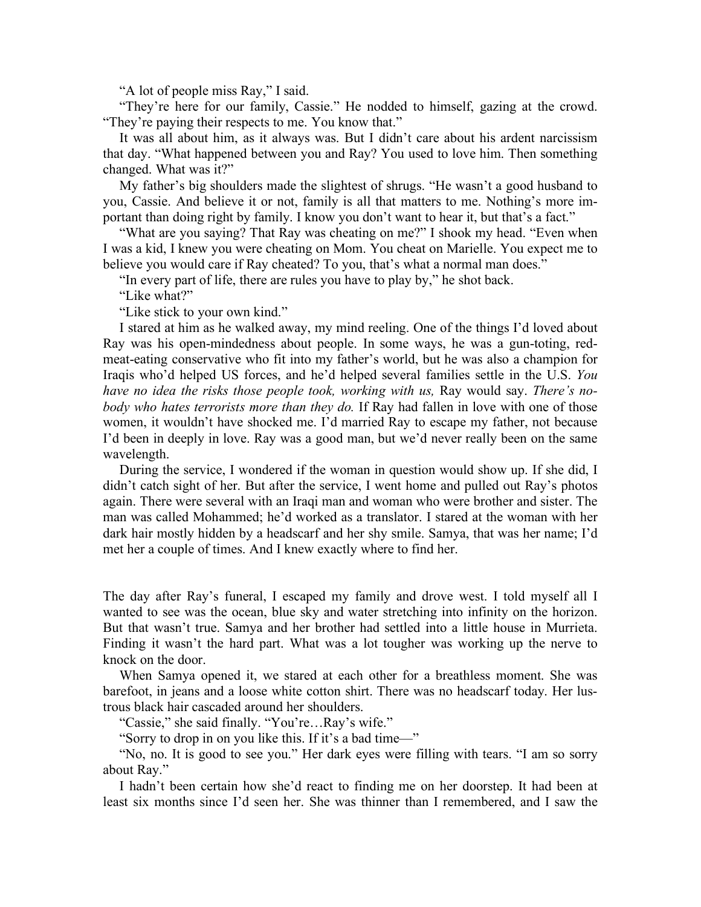"A lot of people miss Ray," I said.

"They're here for our family, Cassie." He nodded to himself, gazing at the crowd. "They're paying their respects to me. You know that."

It was all about him, as it always was. But I didn't care about his ardent narcissism that day. "What happened between you and Ray? You used to love him. Then something changed. What was it?"

My father's big shoulders made the slightest of shrugs. "He wasn't a good husband to you, Cassie. And believe it or not, family is all that matters to me. Nothing's more important than doing right by family. I know you don't want to hear it, but that's a fact."

"What are you saying? That Ray was cheating on me?" I shook my head. "Even when I was a kid, I knew you were cheating on Mom. You cheat on Marielle. You expect me to believe you would care if Ray cheated? To you, that's what a normal man does."

"In every part of life, there are rules you have to play by," he shot back.

"Like what?"

"Like stick to your own kind."

I stared at him as he walked away, my mind reeling. One of the things I'd loved about Ray was his open-mindedness about people. In some ways, he was a gun-toting, redmeat-eating conservative who fit into my father's world, but he was also a champion for Iraqis who'd helped US forces, and he'd helped several families settle in the U.S. *You have no idea the risks those people took, working with us,* Ray would say. *There's nobody who hates terrorists more than they do.* If Ray had fallen in love with one of those women, it wouldn't have shocked me. I'd married Ray to escape my father, not because I'd been in deeply in love. Ray was a good man, but we'd never really been on the same wavelength.

During the service, I wondered if the woman in question would show up. If she did, I didn't catch sight of her. But after the service, I went home and pulled out Ray's photos again. There were several with an Iraqi man and woman who were brother and sister. The man was called Mohammed; he'd worked as a translator. I stared at the woman with her dark hair mostly hidden by a headscarf and her shy smile. Samya, that was her name; I'd met her a couple of times. And I knew exactly where to find her.

The day after Ray's funeral, I escaped my family and drove west. I told myself all I wanted to see was the ocean, blue sky and water stretching into infinity on the horizon. But that wasn't true. Samya and her brother had settled into a little house in Murrieta. Finding it wasn't the hard part. What was a lot tougher was working up the nerve to knock on the door.

When Samya opened it, we stared at each other for a breathless moment. She was barefoot, in jeans and a loose white cotton shirt. There was no headscarf today. Her lustrous black hair cascaded around her shoulders.

"Cassie," she said finally. "You're…Ray's wife."

"Sorry to drop in on you like this. If it's a bad time—"

"No, no. It is good to see you." Her dark eyes were filling with tears. "I am so sorry about Ray."

I hadn't been certain how she'd react to finding me on her doorstep. It had been at least six months since I'd seen her. She was thinner than I remembered, and I saw the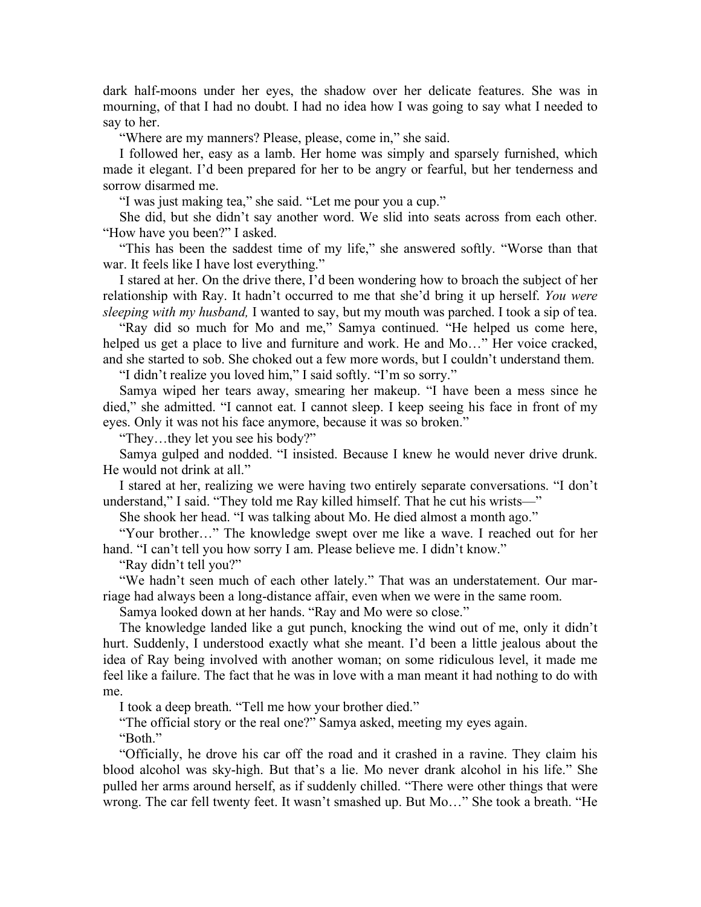dark half-moons under her eyes, the shadow over her delicate features. She was in mourning, of that I had no doubt. I had no idea how I was going to say what I needed to say to her.

"Where are my manners? Please, please, come in," she said.

I followed her, easy as a lamb. Her home was simply and sparsely furnished, which made it elegant. I'd been prepared for her to be angry or fearful, but her tenderness and sorrow disarmed me.

"I was just making tea," she said. "Let me pour you a cup."

She did, but she didn't say another word. We slid into seats across from each other. "How have you been?" I asked.

"This has been the saddest time of my life," she answered softly. "Worse than that war. It feels like I have lost everything."

I stared at her. On the drive there, I'd been wondering how to broach the subject of her relationship with Ray. It hadn't occurred to me that she'd bring it up herself. *You were sleeping with my husband,* I wanted to say, but my mouth was parched. I took a sip of tea.

"Ray did so much for Mo and me," Samya continued. "He helped us come here, helped us get a place to live and furniture and work. He and Mo..." Her voice cracked, and she started to sob. She choked out a few more words, but I couldn't understand them.

"I didn't realize you loved him," I said softly. "I'm so sorry."

Samya wiped her tears away, smearing her makeup. "I have been a mess since he died," she admitted. "I cannot eat. I cannot sleep. I keep seeing his face in front of my eyes. Only it was not his face anymore, because it was so broken."

"They…they let you see his body?"

Samya gulped and nodded. "I insisted. Because I knew he would never drive drunk. He would not drink at all."

I stared at her, realizing we were having two entirely separate conversations. "I don't understand," I said. "They told me Ray killed himself. That he cut his wrists—"

She shook her head. "I was talking about Mo. He died almost a month ago."

"Your brother…" The knowledge swept over me like a wave. I reached out for her hand. "I can't tell you how sorry I am. Please believe me. I didn't know."

"Ray didn't tell you?"

"We hadn't seen much of each other lately." That was an understatement. Our marriage had always been a long-distance affair, even when we were in the same room.

Samya looked down at her hands. "Ray and Mo were so close."

The knowledge landed like a gut punch, knocking the wind out of me, only it didn't hurt. Suddenly, I understood exactly what she meant. I'd been a little jealous about the idea of Ray being involved with another woman; on some ridiculous level, it made me feel like a failure. The fact that he was in love with a man meant it had nothing to do with me.

I took a deep breath. "Tell me how your brother died."

"The official story or the real one?" Samya asked, meeting my eyes again. "Both."

"Officially, he drove his car off the road and it crashed in a ravine. They claim his blood alcohol was sky-high. But that's a lie. Mo never drank alcohol in his life." She pulled her arms around herself, as if suddenly chilled. "There were other things that were wrong. The car fell twenty feet. It wasn't smashed up. But Mo…" She took a breath. "He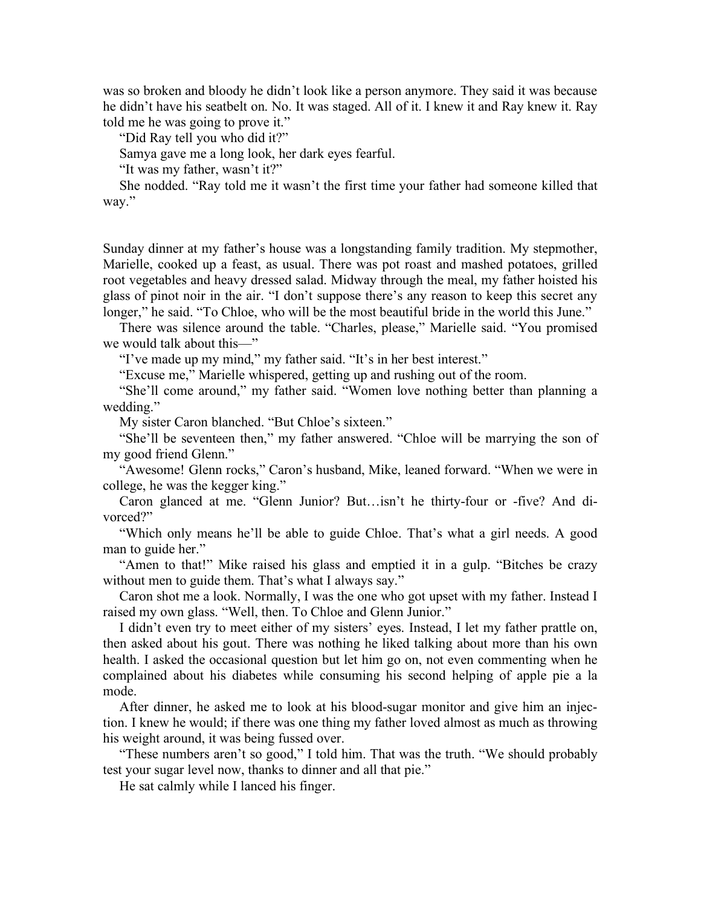was so broken and bloody he didn't look like a person anymore. They said it was because he didn't have his seatbelt on. No. It was staged. All of it. I knew it and Ray knew it. Ray told me he was going to prove it."

"Did Ray tell you who did it?"

Samya gave me a long look, her dark eyes fearful.

"It was my father, wasn't it?"

She nodded. "Ray told me it wasn't the first time your father had someone killed that way."

Sunday dinner at my father's house was a longstanding family tradition. My stepmother, Marielle, cooked up a feast, as usual. There was pot roast and mashed potatoes, grilled root vegetables and heavy dressed salad. Midway through the meal, my father hoisted his glass of pinot noir in the air. "I don't suppose there's any reason to keep this secret any longer," he said. "To Chloe, who will be the most beautiful bride in the world this June."

There was silence around the table. "Charles, please," Marielle said. "You promised we would talk about this—"

"I've made up my mind," my father said. "It's in her best interest."

"Excuse me," Marielle whispered, getting up and rushing out of the room.

"She'll come around," my father said. "Women love nothing better than planning a wedding."

My sister Caron blanched. "But Chloe's sixteen."

"She'll be seventeen then," my father answered. "Chloe will be marrying the son of my good friend Glenn."

"Awesome! Glenn rocks," Caron's husband, Mike, leaned forward. "When we were in college, he was the kegger king."

Caron glanced at me. "Glenn Junior? But…isn't he thirty-four or -five? And divorced?"

"Which only means he'll be able to guide Chloe. That's what a girl needs. A good man to guide her."

"Amen to that!" Mike raised his glass and emptied it in a gulp. "Bitches be crazy without men to guide them. That's what I always say."

Caron shot me a look. Normally, I was the one who got upset with my father. Instead I raised my own glass. "Well, then. To Chloe and Glenn Junior."

I didn't even try to meet either of my sisters' eyes. Instead, I let my father prattle on, then asked about his gout. There was nothing he liked talking about more than his own health. I asked the occasional question but let him go on, not even commenting when he complained about his diabetes while consuming his second helping of apple pie a la mode.

After dinner, he asked me to look at his blood-sugar monitor and give him an injection. I knew he would; if there was one thing my father loved almost as much as throwing his weight around, it was being fussed over.

"These numbers aren't so good," I told him. That was the truth. "We should probably test your sugar level now, thanks to dinner and all that pie."

He sat calmly while I lanced his finger.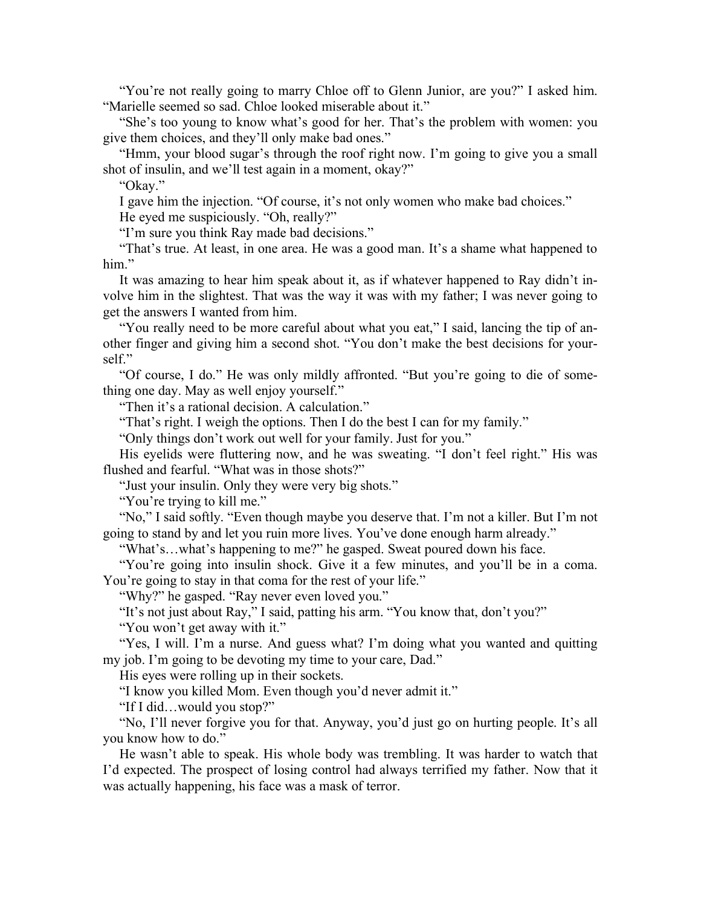"You're not really going to marry Chloe off to Glenn Junior, are you?" I asked him. "Marielle seemed so sad. Chloe looked miserable about it."

"She's too young to know what's good for her. That's the problem with women: you give them choices, and they'll only make bad ones."

"Hmm, your blood sugar's through the roof right now. I'm going to give you a small shot of insulin, and we'll test again in a moment, okay?"

"Okay."

I gave him the injection. "Of course, it's not only women who make bad choices."

He eyed me suspiciously. "Oh, really?"

"I'm sure you think Ray made bad decisions."

"That's true. At least, in one area. He was a good man. It's a shame what happened to him."

It was amazing to hear him speak about it, as if whatever happened to Ray didn't involve him in the slightest. That was the way it was with my father; I was never going to get the answers I wanted from him.

"You really need to be more careful about what you eat," I said, lancing the tip of another finger and giving him a second shot. "You don't make the best decisions for yourself."

"Of course, I do." He was only mildly affronted. "But you're going to die of something one day. May as well enjoy yourself."

"Then it's a rational decision. A calculation."

"That's right. I weigh the options. Then I do the best I can for my family."

"Only things don't work out well for your family. Just for you."

His eyelids were fluttering now, and he was sweating. "I don't feel right." His was flushed and fearful. "What was in those shots?"

"Just your insulin. Only they were very big shots."

"You're trying to kill me."

"No," I said softly. "Even though maybe you deserve that. I'm not a killer. But I'm not going to stand by and let you ruin more lives. You've done enough harm already."

"What's…what's happening to me?" he gasped. Sweat poured down his face.

"You're going into insulin shock. Give it a few minutes, and you'll be in a coma. You're going to stay in that coma for the rest of your life."

"Why?" he gasped. "Ray never even loved you."

"It's not just about Ray," I said, patting his arm. "You know that, don't you?"

"You won't get away with it."

"Yes, I will. I'm a nurse. And guess what? I'm doing what you wanted and quitting my job. I'm going to be devoting my time to your care, Dad."

His eyes were rolling up in their sockets.

"I know you killed Mom. Even though you'd never admit it."

"If I did…would you stop?"

"No, I'll never forgive you for that. Anyway, you'd just go on hurting people. It's all you know how to do."

He wasn't able to speak. His whole body was trembling. It was harder to watch that I'd expected. The prospect of losing control had always terrified my father. Now that it was actually happening, his face was a mask of terror.